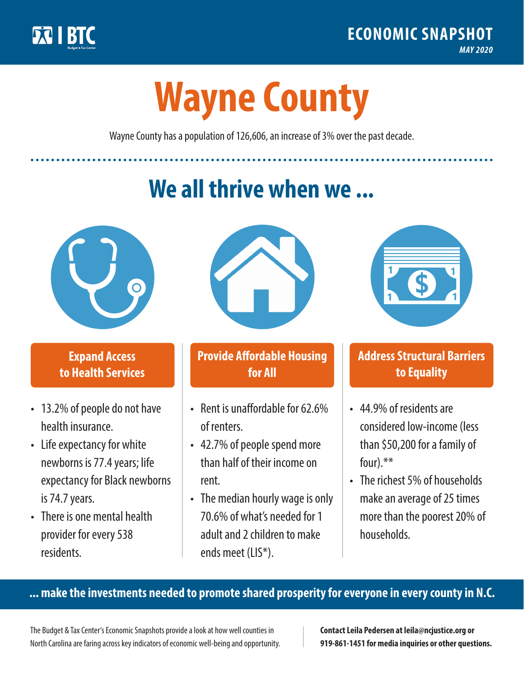

**1**

# **Wayne County**

Wayne County has a population of 126,606, an increase of 3% over the past decade.

# **We all thrive when we ...**



**\$ <sup>1</sup>**

**\$ <sup>1</sup>**

### **Expand Access to Health Services**

- 13.2% of people do not have health insurance.
- Life expectancy for white newborns is 77.4years; life expectancy for Black newborns is 74.7 years.
- There is one mental health provider for every 538 residents.



### **Provide Affordable Housing for All**

- Rent is unaffordable for 62.6% of renters.
- 42.7% of people spend more than half of their income on rent.
- The median hourly wage is only 70.6% of what's needed for 1 adult and 2 children to make ends meet (LIS\*).



## **Address Structural Barriers to Equality**

- 44.9% of residents are considered low-income (less than \$50,200 for a family of four).\*\*
- The richest 5% of households make an average of 25 times more than the poorest 20% of households.

#### **... make the investments needed to promote shared prosperity for everyone in every county in N.C.**

The Budget & Tax Center's Economic Snapshots provide a look at how well counties in North Carolina are faring across key indicators of economic well-being and opportunity.